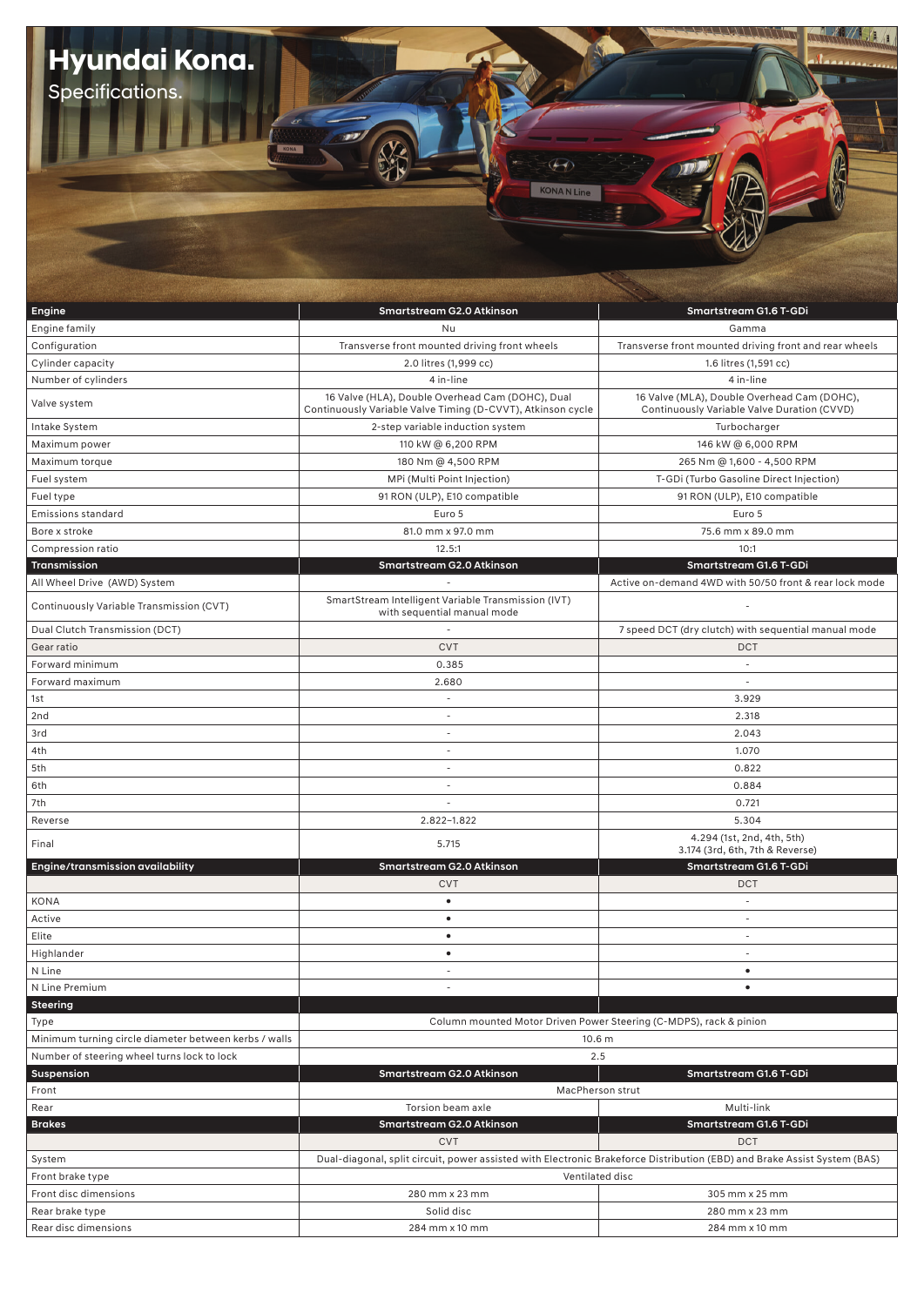| Hyundai Kona.<br>Specifications.                      | <b>KONA N Line</b>                                                                                                       |                                                                                            |
|-------------------------------------------------------|--------------------------------------------------------------------------------------------------------------------------|--------------------------------------------------------------------------------------------|
|                                                       |                                                                                                                          |                                                                                            |
| Engine                                                | Smartstream G2.0 Atkinson                                                                                                | Smartstream G1.6 T-GDi                                                                     |
| Engine family                                         | Nu                                                                                                                       | Gamma                                                                                      |
| Configuration                                         | Transverse front mounted driving front wheels                                                                            | Transverse front mounted driving front and rear wheels                                     |
| Cylinder capacity                                     | 2.0 litres (1,999 cc)                                                                                                    | 1.6 litres (1,591 cc)                                                                      |
| Number of cylinders                                   | 4 in-line                                                                                                                | 4 in-line                                                                                  |
| Valve system                                          | 16 Valve (HLA), Double Overhead Cam (DOHC), Dual<br>Continuously Variable Valve Timing (D-CVVT), Atkinson cycle          | 16 Valve (MLA), Double Overhead Cam (DOHC),<br>Continuously Variable Valve Duration (CVVD) |
| Intake System                                         | 2-step variable induction system                                                                                         | Turbocharger                                                                               |
| Maximum power                                         | 110 kW @ 6,200 RPM                                                                                                       | 146 kW @ 6,000 RPM                                                                         |
| Maximum torque                                        | 180 Nm @ 4,500 RPM                                                                                                       | 265 Nm @ 1,600 - 4,500 RPM                                                                 |
|                                                       |                                                                                                                          | T-GDi (Turbo Gasoline Direct Injection)                                                    |
| Fuel system                                           | MPi (Multi Point Injection)                                                                                              |                                                                                            |
| Fuel type                                             | 91 RON (ULP), E10 compatible                                                                                             | 91 RON (ULP), E10 compatible                                                               |
| Emissions standard                                    | Euro 5                                                                                                                   | Euro 5                                                                                     |
| Bore x stroke                                         | 81.0 mm x 97.0 mm                                                                                                        | 75.6 mm x 89.0 mm                                                                          |
| Compression ratio                                     | 12.5:1                                                                                                                   | 10:1                                                                                       |
| Transmission                                          | Smartstream G2.0 Atkinson                                                                                                | Smartstream G1.6 T-GDi<br>Active on-demand 4WD with 50/50 front & rear lock mode           |
| All Wheel Drive (AWD) System                          |                                                                                                                          |                                                                                            |
| Continuously Variable Transmission (CVT)              | SmartStream Intelligent Variable Transmission (IVT)<br>with sequential manual mode                                       |                                                                                            |
| Dual Clutch Transmission (DCT)                        | ÷.                                                                                                                       | 7 speed DCT (dry clutch) with sequential manual mode                                       |
| Gear ratio                                            | <b>CVT</b>                                                                                                               | <b>DCT</b>                                                                                 |
| Forward minimum                                       | 0.385                                                                                                                    |                                                                                            |
| Forward maximum                                       | 2.680                                                                                                                    | $\sim$                                                                                     |
| 1st                                                   | $\overline{\phantom{a}}$                                                                                                 | 3.929                                                                                      |
| 2nd                                                   |                                                                                                                          | 2.318                                                                                      |
| 3rd                                                   | $\overline{\phantom{a}}$                                                                                                 | 2.043                                                                                      |
| 4th                                                   | ÷,                                                                                                                       | 1.070                                                                                      |
| 5th                                                   | $\sim$                                                                                                                   | 0.822                                                                                      |
|                                                       | $\sim$                                                                                                                   |                                                                                            |
| 6th                                                   | $\sim$                                                                                                                   | 0.884                                                                                      |
| 7th                                                   |                                                                                                                          | 0.721                                                                                      |
| Reverse                                               | 2.822~1.822                                                                                                              | 5.304                                                                                      |
| Final                                                 | 5.715                                                                                                                    | 4.294 (1st, 2nd, 4th, 5th)<br>3.174 (3rd, 6th, 7th & Reverse)                              |
| Engine/transmission availability                      | Smartstream G2.0 Atkinson                                                                                                | Smartstream G1.6 T-GDi                                                                     |
|                                                       | <b>CVT</b>                                                                                                               | <b>DCT</b>                                                                                 |
| KONA                                                  | $\bullet$                                                                                                                | $\overline{\phantom{a}}$                                                                   |
| Active                                                | $\bullet$                                                                                                                | $\sim$                                                                                     |
| Elite                                                 | $\bullet$                                                                                                                | $\sim$                                                                                     |
| Highlander                                            | $\bullet$                                                                                                                | $\sim$                                                                                     |
| N Line                                                | $\sim$                                                                                                                   | $\bullet$                                                                                  |
| N Line Premium                                        | $\sim$                                                                                                                   | $\bullet$                                                                                  |
| <b>Steering</b>                                       |                                                                                                                          |                                                                                            |
| Type                                                  | Column mounted Motor Driven Power Steering (C-MDPS), rack & pinion                                                       |                                                                                            |
| Minimum turning circle diameter between kerbs / walls | 10.6 <sub>m</sub>                                                                                                        |                                                                                            |
| Number of steering wheel turns lock to lock           | 2.5                                                                                                                      |                                                                                            |
| Suspension                                            | Smartstream G2.0 Atkinson                                                                                                | Smartstream G1.6 T-GDi                                                                     |
| Front                                                 | MacPherson strut                                                                                                         |                                                                                            |
| Rear                                                  | Torsion beam axle                                                                                                        | Multi-link                                                                                 |
| <b>Brakes</b>                                         | Smartstream G2.0 Atkinson                                                                                                | Smartstream G1.6 T-GDi                                                                     |
|                                                       | <b>CVT</b>                                                                                                               | <b>DCT</b>                                                                                 |
| System                                                | Dual-diagonal, split circuit, power assisted with Electronic Brakeforce Distribution (EBD) and Brake Assist System (BAS) |                                                                                            |
| Front brake type                                      | Ventilated disc                                                                                                          |                                                                                            |
| Front disc dimensions                                 | 280 mm x 23 mm                                                                                                           | 305 mm x 25 mm                                                                             |
| Rear brake type                                       | Solid disc                                                                                                               | 280 mm x 23 mm                                                                             |
| Rear disc dimensions                                  | 284 mm x 10 mm                                                                                                           | 284 mm x 10 mm                                                                             |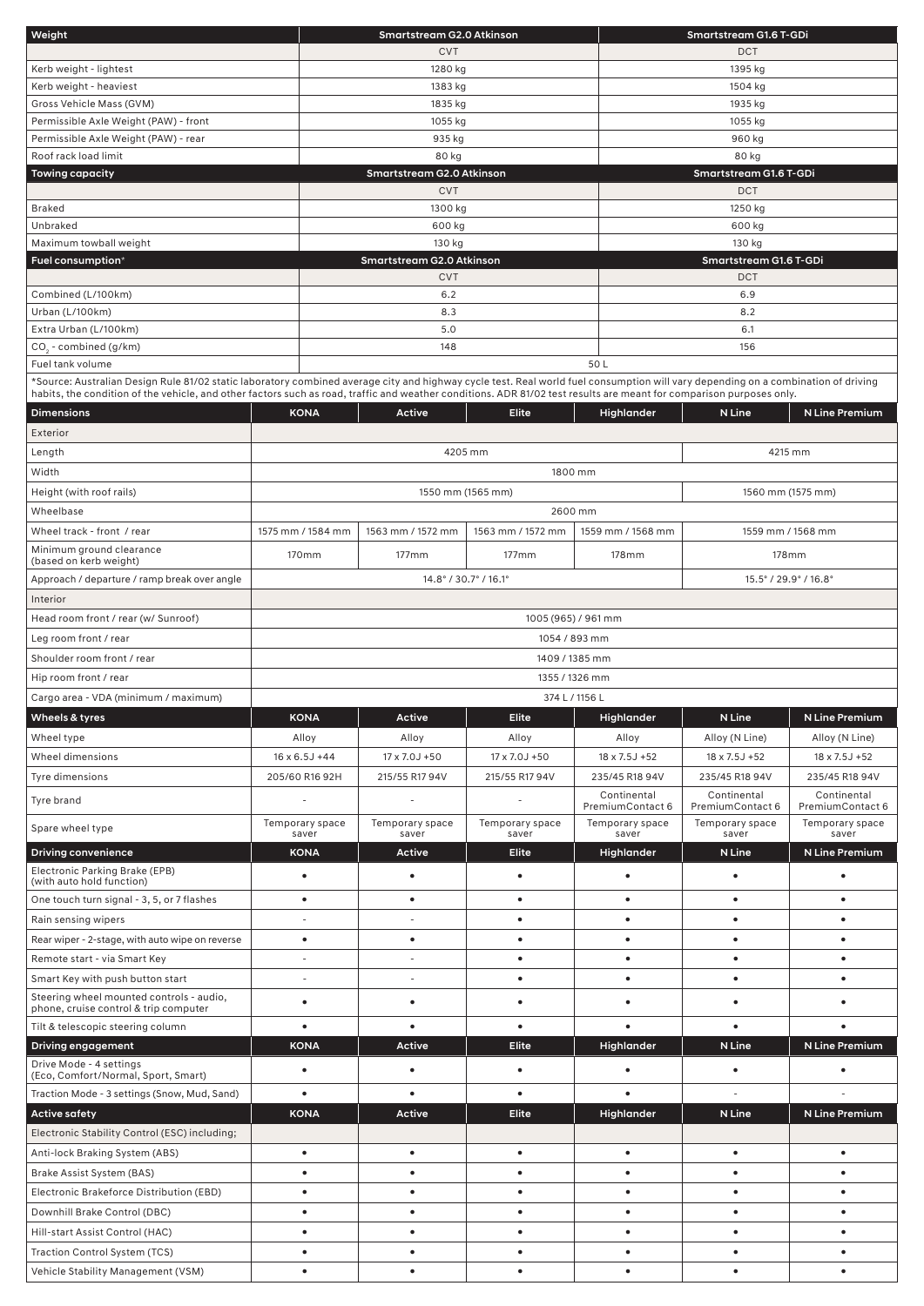| Weight                                                                                                                                                                            |                          | Smartstream G2.0 Atkinson                           |                          |                                 | Smartstream G1.6 T-GDi          |                                 |  |  |
|-----------------------------------------------------------------------------------------------------------------------------------------------------------------------------------|--------------------------|-----------------------------------------------------|--------------------------|---------------------------------|---------------------------------|---------------------------------|--|--|
|                                                                                                                                                                                   | <b>CVT</b>               |                                                     |                          |                                 |                                 | <b>DCT</b>                      |  |  |
| Kerb weight - lightest                                                                                                                                                            | 1280 kg                  |                                                     |                          |                                 | 1395 kg                         |                                 |  |  |
| Kerb weight - heaviest                                                                                                                                                            | 1383 kg                  |                                                     |                          |                                 | 1504 kg                         |                                 |  |  |
| Gross Vehicle Mass (GVM)                                                                                                                                                          |                          | 1835 kg                                             |                          |                                 | 1935 kg                         |                                 |  |  |
| Permissible Axle Weight (PAW) - front                                                                                                                                             |                          | 1055 kg                                             |                          |                                 | 1055 kg                         |                                 |  |  |
| Permissible Axle Weight (PAW) - rear                                                                                                                                              |                          | 935 kg                                              |                          |                                 | 960 kg                          |                                 |  |  |
| Roof rack load limit                                                                                                                                                              | 80 kg                    |                                                     |                          |                                 |                                 |                                 |  |  |
| <b>Towing capacity</b>                                                                                                                                                            |                          | Smartstream G2.0 Atkinson<br>Smartstream G1.6 T-GDi |                          |                                 |                                 |                                 |  |  |
|                                                                                                                                                                                   |                          | <b>CVT</b>                                          |                          |                                 | DCT                             |                                 |  |  |
| <b>Braked</b>                                                                                                                                                                     |                          | 1300 kg                                             |                          |                                 | 1250 kg                         |                                 |  |  |
| Unbraked                                                                                                                                                                          |                          | 600 kg                                              |                          |                                 | 600 kg                          |                                 |  |  |
| Maximum towball weight                                                                                                                                                            |                          | 130 kg                                              |                          |                                 | 130 kg                          |                                 |  |  |
| Fuel consumption*                                                                                                                                                                 |                          | Smartstream G2.0 Atkinson                           |                          |                                 | Smartstream G1.6 T-GDi          |                                 |  |  |
|                                                                                                                                                                                   |                          | <b>CVT</b>                                          |                          |                                 | DCT                             |                                 |  |  |
| Combined (L/100km)                                                                                                                                                                |                          | 6.2                                                 |                          |                                 | 6.9                             |                                 |  |  |
| Urban (L/100km)                                                                                                                                                                   |                          | 8.3                                                 |                          |                                 | 8.2                             |                                 |  |  |
| Extra Urban (L/100km)                                                                                                                                                             |                          | 5.0                                                 |                          |                                 | 6.1                             |                                 |  |  |
| CO <sub>3</sub> - combined (g/km)                                                                                                                                                 |                          | 148                                                 |                          |                                 | 156                             |                                 |  |  |
| Fuel tank volume                                                                                                                                                                  |                          |                                                     |                          | 50L                             |                                 |                                 |  |  |
| *Source: Australian Design Rule 81/02 static laboratory combined average city and highway cycle test. Real world fuel consumption will vary depending on a combination of driving |                          |                                                     |                          |                                 |                                 |                                 |  |  |
| habits, the condition of the vehicle, and other factors such as road, traffic and weather conditions. ADR 81/02 test results are meant for comparison purposes only.              |                          |                                                     |                          |                                 |                                 |                                 |  |  |
| <b>Dimensions</b>                                                                                                                                                                 | <b>KONA</b>              | <b>Active</b>                                       | <b>Elite</b>             | Highlander                      | N Line                          | N Line Premium                  |  |  |
| Exterior                                                                                                                                                                          |                          |                                                     |                          |                                 |                                 |                                 |  |  |
| Length                                                                                                                                                                            |                          |                                                     | 4205 mm                  |                                 |                                 | 4215 mm                         |  |  |
| Width                                                                                                                                                                             |                          |                                                     | 1800 mm                  |                                 |                                 |                                 |  |  |
| Height (with roof rails)                                                                                                                                                          |                          |                                                     | 1550 mm (1565 mm)        |                                 |                                 | 1560 mm (1575 mm)               |  |  |
|                                                                                                                                                                                   |                          |                                                     |                          |                                 |                                 |                                 |  |  |
| Wheelbase                                                                                                                                                                         |                          |                                                     | 2600 mm                  |                                 |                                 |                                 |  |  |
| Wheel track - front / rear                                                                                                                                                        | 1575 mm / 1584 mm        | 1563 mm / 1572 mm                                   | 1563 mm / 1572 mm        | 1559 mm / 1568 mm               |                                 | 1559 mm / 1568 mm               |  |  |
| Minimum ground clearance<br>(based on kerb weight)                                                                                                                                | 170mm                    | $177$ mm                                            | 177mm                    | 178mm                           |                                 | 178mm                           |  |  |
| Approach / departure / ramp break over angle                                                                                                                                      |                          |                                                     | 14.8°/30.7°/16.1°        |                                 |                                 | 15.5° / 29.9° / 16.8°           |  |  |
| Interior                                                                                                                                                                          |                          |                                                     |                          |                                 |                                 |                                 |  |  |
|                                                                                                                                                                                   |                          |                                                     |                          |                                 |                                 |                                 |  |  |
| Head room front / rear (w/ Sunroof)                                                                                                                                               |                          |                                                     | 1005 (965) / 961 mm      |                                 |                                 |                                 |  |  |
| Leg room front / rear                                                                                                                                                             |                          |                                                     | 1054 / 893 mm            |                                 |                                 |                                 |  |  |
| Shoulder room front / rear                                                                                                                                                        |                          |                                                     | 1409 / 1385 mm           |                                 |                                 |                                 |  |  |
| Hip room front / rear                                                                                                                                                             |                          |                                                     | 1355 / 1326 mm           |                                 |                                 |                                 |  |  |
| Cargo area - VDA (minimum / maximum)                                                                                                                                              |                          |                                                     | 374 L / 1156 L           |                                 |                                 |                                 |  |  |
| Wheels & tyres                                                                                                                                                                    | <b>KONA</b>              | Active                                              | Elite                    | Highlander                      | N Line                          | N Line Premium                  |  |  |
| Wheel type                                                                                                                                                                        | Alloy                    | Alloy                                               | Alloy                    | Alloy                           | Alloy (N Line)                  | Alloy (N Line)                  |  |  |
| Wheel dimensions                                                                                                                                                                  | $16 \times 6.5$ J +44    | 17 x 7.0J +50                                       | 17 x 7.0J +50            | 18 x 7.5J +52                   | 18 x 7.5J +52                   | 18 x 7.5J +52                   |  |  |
|                                                                                                                                                                                   |                          |                                                     |                          |                                 |                                 |                                 |  |  |
| Tyre dimensions                                                                                                                                                                   | 205/60 R16 92H           | 215/55 R17 94V                                      | 215/55 R17 94V           | 235/45 R18 94V                  | 235/45 R18 94V                  | 235/45 R18 94V                  |  |  |
| Tyre brand                                                                                                                                                                        |                          | $\sim$                                              | $\sim$                   | Continental<br>PremiumContact 6 | Continental<br>PremiumContact 6 | Continental<br>PremiumContact 6 |  |  |
| Spare wheel type                                                                                                                                                                  | Temporary space<br>saver | Temporary space<br>saver                            | Temporary space<br>saver | Temporary space<br>saver        | Temporary space<br>saver        | Temporary space<br>saver        |  |  |
| <b>Driving convenience</b>                                                                                                                                                        | <b>KONA</b>              | Active                                              | <b>Elite</b>             | Highlander                      | N Line                          | N Line Premium                  |  |  |
| Electronic Parking Brake (EPB)                                                                                                                                                    |                          |                                                     |                          |                                 |                                 |                                 |  |  |
| (with auto hold function)                                                                                                                                                         | $\bullet$                | $\bullet$                                           | $\bullet$                | $\bullet$                       | $\bullet$                       | $\bullet$                       |  |  |
| One touch turn signal - 3, 5, or 7 flashes                                                                                                                                        | ٠                        | $\bullet$                                           | $\bullet$                | $\bullet$                       | $\bullet$                       | $\bullet$                       |  |  |
| Rain sensing wipers                                                                                                                                                               | $\sim$                   |                                                     | $\bullet$                | $\bullet$                       | $\bullet$                       | $\bullet$                       |  |  |
| Rear wiper - 2-stage, with auto wipe on reverse                                                                                                                                   | ٠                        | $\bullet$                                           | $\bullet$                | $\bullet$                       | $\bullet$                       | ٠                               |  |  |
| Remote start - via Smart Key                                                                                                                                                      |                          |                                                     | $\bullet$                | $\bullet$                       | $\bullet$                       |                                 |  |  |
| Smart Key with push button start                                                                                                                                                  | $\sim$                   | $\sim$                                              | $\bullet$                | $\bullet$                       | $\bullet$                       |                                 |  |  |
| Steering wheel mounted controls - audio,                                                                                                                                          |                          |                                                     |                          |                                 |                                 |                                 |  |  |
| phone, cruise control & trip computer                                                                                                                                             | ٠                        | $\bullet$                                           | $\bullet$                | ٠                               | $\bullet$                       |                                 |  |  |
| Tilt & telescopic steering column                                                                                                                                                 | $\bullet$                | $\bullet$                                           | $\bullet$                | $\bullet$                       | $\bullet$                       |                                 |  |  |
| Driving engagement                                                                                                                                                                | <b>KONA</b>              | Active                                              | Elite                    | Highlander                      | N Line                          | N Line Premium                  |  |  |
| Drive Mode - 4 settings                                                                                                                                                           | ٠                        | $\bullet$                                           | $\bullet$                | $\bullet$                       | $\bullet$                       |                                 |  |  |
| (Eco, Comfort/Normal, Sport, Smart)                                                                                                                                               |                          |                                                     |                          |                                 |                                 |                                 |  |  |
| Traction Mode - 3 settings (Snow, Mud, Sand)                                                                                                                                      | $\bullet$                | $\bullet$                                           | $\bullet$                |                                 |                                 |                                 |  |  |
| <b>Active safety</b>                                                                                                                                                              | <b>KONA</b>              | Active                                              | Elite                    | Highlander                      | N Line                          | N Line Premium                  |  |  |
| Electronic Stability Control (ESC) including;                                                                                                                                     |                          |                                                     |                          |                                 |                                 |                                 |  |  |
| Anti-lock Braking System (ABS)                                                                                                                                                    | ٠                        | $\bullet$                                           | $\bullet$                | $\bullet$                       | $\bullet$                       |                                 |  |  |
| Brake Assist System (BAS)                                                                                                                                                         |                          |                                                     | ٠                        | $\bullet$                       | $\bullet$                       |                                 |  |  |
|                                                                                                                                                                                   |                          |                                                     |                          |                                 |                                 |                                 |  |  |
|                                                                                                                                                                                   | ٠                        | $\bullet$                                           | $\bullet$                | $\bullet$                       | $\bullet$                       |                                 |  |  |
| Electronic Brakeforce Distribution (EBD)                                                                                                                                          |                          |                                                     |                          |                                 |                                 |                                 |  |  |
| Downhill Brake Control (DBC)                                                                                                                                                      | ٠                        | $\bullet$                                           | $\bullet$                | $\bullet$                       | $\bullet$                       |                                 |  |  |
| Hill-start Assist Control (HAC)                                                                                                                                                   | ٠                        | $\bullet$                                           | $\bullet$                | $\bullet$                       | $\bullet$                       |                                 |  |  |
| <b>Traction Control System (TCS)</b>                                                                                                                                              | ٠                        | $\bullet$                                           | $\bullet$                | $\bullet$                       | $\bullet$                       |                                 |  |  |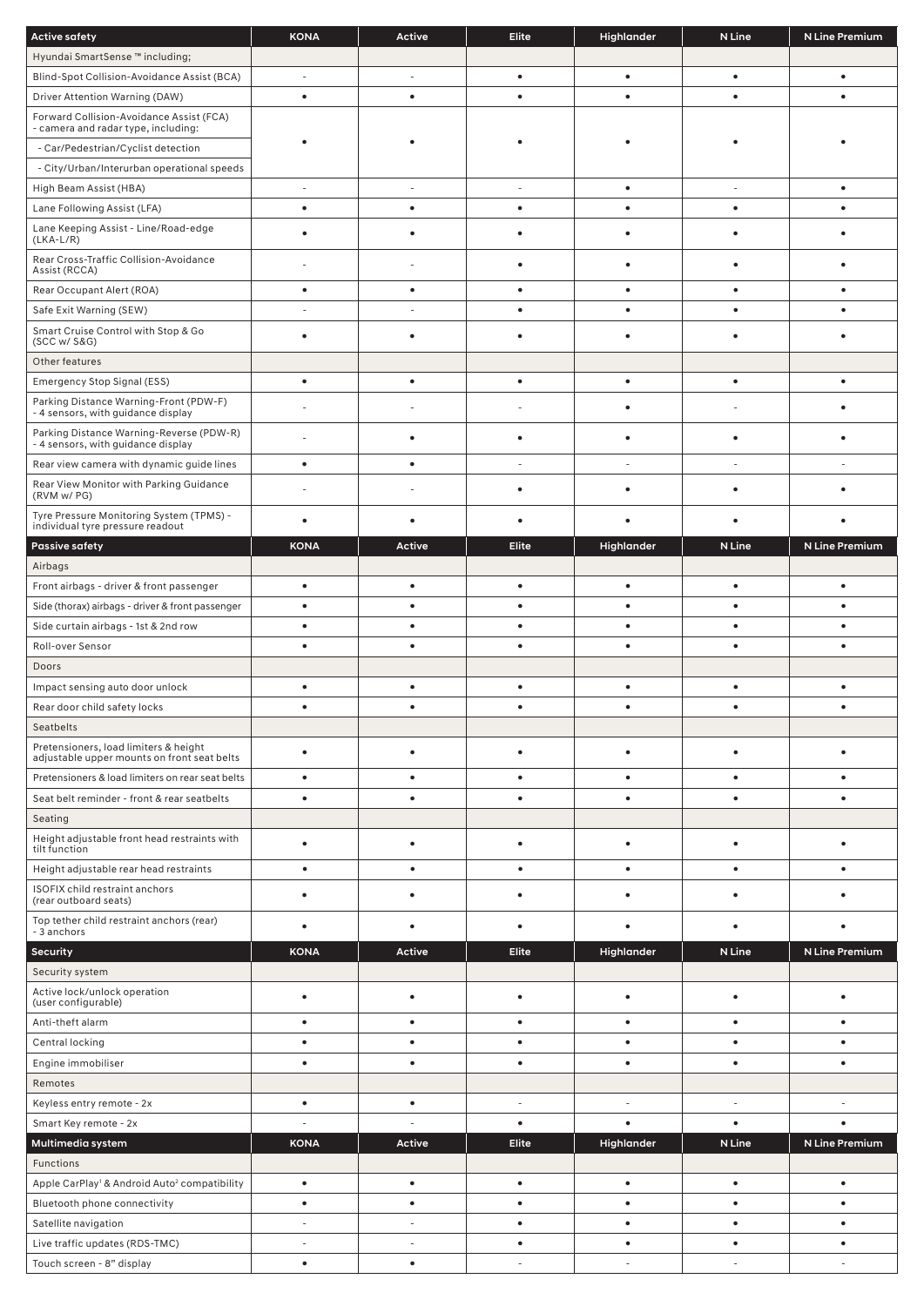| <b>Active safety</b>                                                                 | <b>KONA</b>     | <b>Active</b>            | <b>Elite</b>           | Highlander             | N Line    | <b>N Line Premium</b> |
|--------------------------------------------------------------------------------------|-----------------|--------------------------|------------------------|------------------------|-----------|-----------------------|
| Hyundai SmartSense ™ including;                                                      |                 |                          |                        |                        |           |                       |
| Blind-Spot Collision-Avoidance Assist (BCA)                                          | ÷,              | $\frac{1}{2}$            | $\bullet$              | $\bullet$              | ٠         | $\bullet$             |
| Driver Attention Warning (DAW)                                                       | $\bullet$       | $\bullet$                | ٠                      | $\bullet$              | ٠         |                       |
| Forward Collision-Avoidance Assist (FCA)<br>- camera and radar type, including:      |                 |                          |                        |                        |           |                       |
| - Car/Pedestrian/Cyclist detection                                                   |                 |                          |                        |                        |           |                       |
| - City/Urban/Interurban operational speeds                                           |                 |                          |                        |                        |           |                       |
| High Beam Assist (HBA)                                                               | ÷,              | $\frac{1}{2}$            | ÷,                     | $\bullet$              | ÷,        | $\bullet$             |
| Lane Following Assist (LFA)                                                          | $\bullet$       | $\bullet$                | $\bullet$              | $\bullet$              | $\bullet$ |                       |
| Lane Keeping Assist - Line/Road-edge<br>$(LKA-L/R)$                                  |                 | $\bullet$                |                        | $\bullet$              |           |                       |
| Rear Cross-Traffic Collision-Avoidance<br>Assist (RCCA)                              |                 |                          |                        |                        |           |                       |
| Rear Occupant Alert (ROA)                                                            | $\bullet$       | $\bullet$                | ٠                      | $\bullet$              | ٠         |                       |
| Safe Exit Warning (SEW)                                                              | L,              | L.                       | ٠                      | $\bullet$              | ٠         |                       |
| Smart Cruise Control with Stop & Go<br>(SCC w/ S&G)                                  |                 | $\bullet$                |                        | $\bullet$              |           |                       |
| Other features                                                                       |                 |                          |                        |                        |           |                       |
| Emergency Stop Signal (ESS)                                                          | $\bullet$       | $\bullet$                | $\bullet$              | $\bullet$              | $\bullet$ |                       |
| Parking Distance Warning-Front (PDW-F)<br>- 4 sensors, with guidance display         |                 |                          |                        | $\bullet$              |           |                       |
| Parking Distance Warning-Reverse (PDW-R)<br>- 4 sensors, with guidance display       |                 | $\bullet$                | ٠                      | $\bullet$              | ٠         |                       |
| Rear view camera with dynamic guide lines                                            | $\bullet$       | $\bullet$                |                        | L                      |           |                       |
| Rear View Monitor with Parking Guidance<br>(RVM w/PG)                                |                 |                          |                        | $\bullet$              |           |                       |
| Tyre Pressure Monitoring System (TPMS) -<br>individual tyre pressure readout         |                 |                          |                        |                        |           |                       |
| <b>Passive safety</b>                                                                | <b>KONA</b>     | <b>Active</b>            | <b>Elite</b>           | Highlander             | N Line    | N Line Premium        |
| Airbags                                                                              |                 |                          |                        |                        |           |                       |
| Front airbags - driver & front passenger                                             | $\bullet$       | $\bullet$                | $\bullet$              | $\bullet$              | $\bullet$ |                       |
| Side (thorax) airbags - driver & front passenger                                     | ٠               | $\bullet$                | ٠                      | $\bullet$              | ٠         |                       |
| Side curtain airbags - 1st & 2nd row                                                 | ٠               | $\bullet$                | ٠                      | $\bullet$              | ٠         |                       |
| Roll-over Sensor                                                                     | ٠               | $\bullet$                | ٠                      | $\bullet$              |           |                       |
| Doors                                                                                |                 |                          |                        |                        |           |                       |
| Impact sensing auto door unlock                                                      | $\bullet$       | $\bullet$                |                        | $\bullet$              | ٠         |                       |
| Rear door child safety locks                                                         |                 |                          |                        |                        |           |                       |
| Seatbelts                                                                            |                 |                          |                        |                        |           |                       |
| Pretensioners, load limiters & height<br>adjustable upper mounts on front seat belts | $\bullet$       | $\bullet$                | $\bullet$              | $\bullet$              | $\bullet$ | ٠                     |
| Pretensioners & load limiters on rear seat belts                                     | $\bullet$       | $\bullet$                | ٠                      | $\bullet$              | $\bullet$ | ٠                     |
| Seat belt reminder - front & rear seatbelts                                          | $\bullet$       | $\bullet$                | $\bullet$              | $\bullet$              | ٠         | $\bullet$             |
| Seating                                                                              |                 |                          |                        |                        |           |                       |
| Height adjustable front head restraints with<br>tilt function                        | $\bullet$       | $\bullet$                | $\bullet$              | $\bullet$              | $\bullet$ | ٠                     |
| Height adjustable rear head restraints                                               | ٠               | $\bullet$                | ٠                      | $\bullet$              | ٠         |                       |
| ISOFIX child restraint anchors<br>(rear outboard seats)                              |                 | $\bullet$                |                        | $\bullet$              |           |                       |
| Top tether child restraint anchors (rear)<br>- 3 anchors                             | ٠               | $\bullet$                |                        | $\bullet$              |           |                       |
| <b>Security</b>                                                                      | <b>KONA</b>     | <b>Active</b>            | <b>Elite</b>           | Highlander             | N Line    | N Line Premium        |
| Security system                                                                      |                 |                          |                        |                        |           |                       |
| Active lock/unlock operation<br>(user configurable)                                  | ٠               | $\bullet$                | $\bullet$              | $\bullet$              | ٠         | $\bullet$             |
| Anti-theft alarm                                                                     | $\bullet$       | $\bullet$                | $\bullet$              | $\bullet$              | $\bullet$ | ٠                     |
| Central locking                                                                      | ٠               | $\bullet$                | ٠                      | $\bullet$              | ٠         | ٠                     |
| Engine immobiliser                                                                   | $\bullet$       | $\bullet$                | $\bullet$              | $\bullet$              | $\bullet$ | $\bullet$             |
| Remotes                                                                              |                 |                          |                        |                        |           |                       |
| Keyless entry remote - 2x                                                            | $\bullet$       | $\bullet$                | ä,                     | ä,                     | ÷,        |                       |
| Smart Key remote - 2x                                                                |                 |                          | $\bullet$              | $\bullet$              | $\bullet$ | $\bullet$             |
| Multimedia system                                                                    | <b>KONA</b>     | Active                   | <b>Elite</b>           | Highlander             | N Line    | N Line Premium        |
| Functions                                                                            |                 |                          |                        |                        |           |                       |
| Apple CarPlay <sup>1</sup> & Android Auto <sup>2</sup> compatibility                 | $\bullet$       | $\bullet$                | $\bullet$              | $\bullet$              | $\bullet$ | $\bullet$             |
| Bluetooth phone connectivity<br>Satellite navigation                                 | $\bullet$<br>L, | $\bullet$<br>L.          | $\bullet$<br>$\bullet$ | $\bullet$<br>$\bullet$ | ٠<br>٠    | ٠<br>٠                |
| Live traffic updates (RDS-TMC)                                                       | ٠               | $\overline{\phantom{a}}$ | $\bullet$              | $\bullet$              | $\bullet$ | ٠                     |
| Touch screen - 8" display                                                            | $\bullet$       | $\bullet$                |                        |                        |           |                       |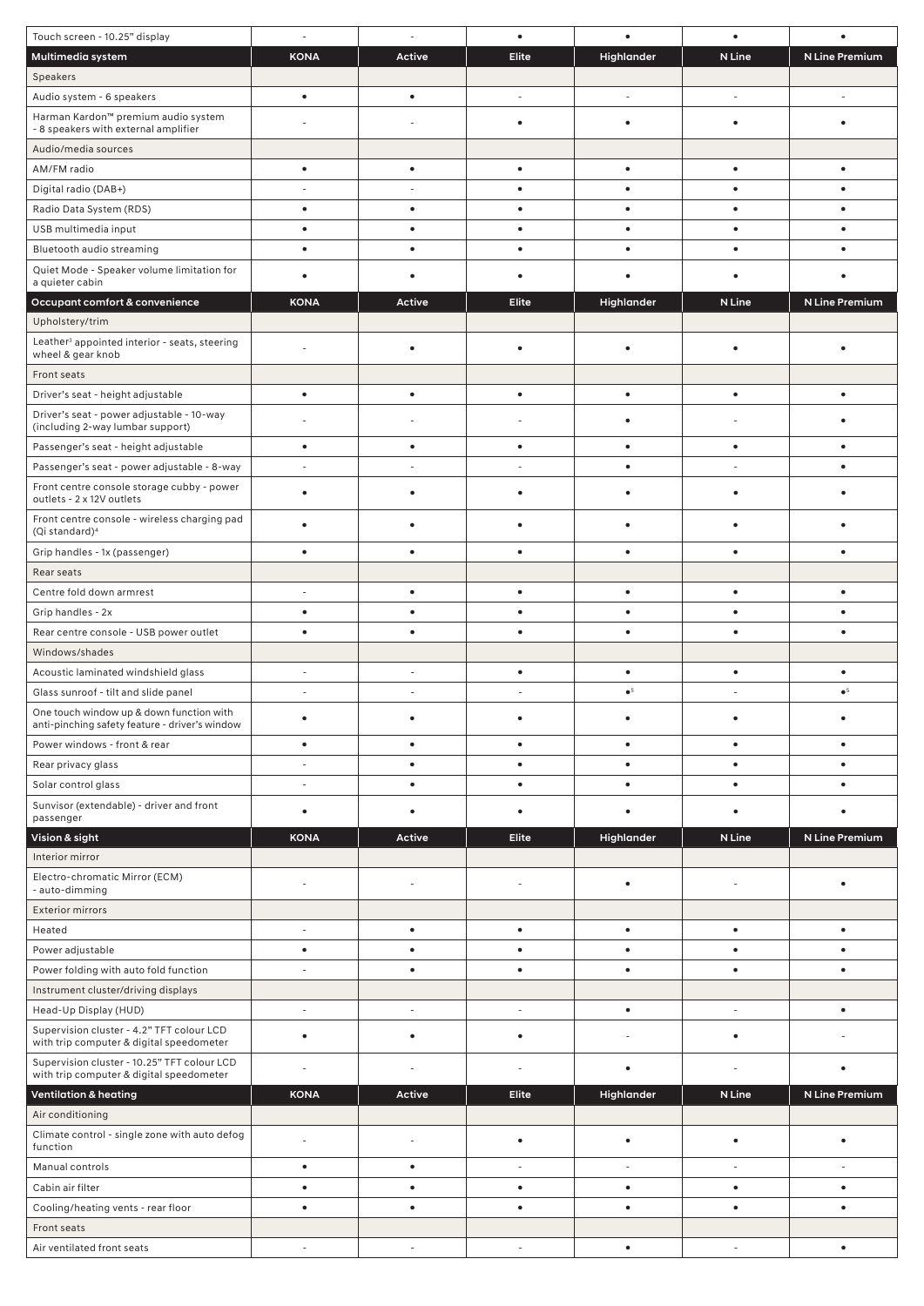| Touch screen - 10.25" display                                                              | $\sim$                   | $\overline{\phantom{a}}$ | $\bullet$                | $\bullet$   | $\bullet$                |                |
|--------------------------------------------------------------------------------------------|--------------------------|--------------------------|--------------------------|-------------|--------------------------|----------------|
| Multimedia system                                                                          | <b>KONA</b>              | Active                   | Elite                    | Highlander  | N Line                   | N Line Premium |
| Speakers                                                                                   |                          |                          |                          |             |                          |                |
| Audio system - 6 speakers                                                                  | $\bullet$                | $\bullet$                |                          |             |                          |                |
| Harman Kardon™ premium audio system<br>- 8 speakers with external amplifier                |                          |                          | $\bullet$                | $\bullet$   | $\bullet$                |                |
| Audio/media sources                                                                        |                          |                          |                          |             |                          |                |
| AM/FM radio                                                                                | $\bullet$                | $\bullet$                | $\bullet$                | $\bullet$   | $\bullet$                | $\bullet$      |
| Digital radio (DAB+)                                                                       |                          |                          | $\bullet$                | $\bullet$   | ٠                        |                |
| Radio Data System (RDS)                                                                    | ٠                        | $\bullet$                | ٠                        | $\bullet$   | ٠                        | ٠              |
| USB multimedia input                                                                       | $\bullet$                | $\bullet$                | $\bullet$                | $\bullet$   | ٠                        |                |
| Bluetooth audio streaming                                                                  |                          | $\bullet$                |                          |             |                          |                |
| Quiet Mode - Speaker volume limitation for<br>a quieter cabin                              |                          | ٠                        |                          |             |                          |                |
| Occupant comfort & convenience                                                             | <b>KONA</b>              | <b>Active</b>            | Elite                    | Highlander  | N Line                   | N Line Premium |
| Upholstery/trim                                                                            |                          |                          |                          |             |                          |                |
| Leather <sup>3</sup> appointed interior - seats, steering<br>wheel & gear knob             |                          | $\bullet$                | $\bullet$                | $\bullet$   | $\bullet$                |                |
| Front seats                                                                                |                          |                          |                          |             |                          |                |
| Driver's seat - height adjustable                                                          | $\bullet$                | $\bullet$                | $\bullet$                | $\bullet$   | $\bullet$                |                |
| Driver's seat - power adjustable - 10-way<br>(including 2-way lumbar support)              |                          |                          |                          | ٠           |                          |                |
| Passenger's seat - height adjustable                                                       | ٠                        | $\bullet$                | $\bullet$                | $\bullet$   | $\bullet$                | ٠              |
| Passenger's seat - power adjustable - 8-way                                                |                          |                          |                          | $\bullet$   |                          | $\bullet$      |
| Front centre console storage cubby - power<br>outlets - 2 x 12V outlets                    |                          | ٠                        |                          | ٠           | ٠                        |                |
| Front centre console - wireless charging pad<br>(Qi standard) <sup>4</sup>                 |                          |                          |                          | ٠           |                          |                |
| Grip handles - 1x (passenger)                                                              | $\bullet$                | $\bullet$                | $\bullet$                | $\bullet$   | ٠                        | ٠              |
| Rear seats                                                                                 |                          |                          |                          |             |                          |                |
| Centre fold down armrest                                                                   |                          | $\bullet$                | $\bullet$                | $\bullet$   | $\bullet$                |                |
| Grip handles - 2x                                                                          | ٠                        | $\bullet$                |                          | ٠           |                          |                |
| Rear centre console - USB power outlet                                                     |                          | ٠                        |                          | ٠           |                          |                |
| Windows/shades                                                                             |                          |                          |                          |             |                          |                |
| Acoustic laminated windshield glass                                                        |                          |                          | ٠                        | ٠           | ٠                        |                |
| Glass sunroof - tilt and slide panel                                                       |                          |                          |                          | $\bullet^5$ |                          | $\bullet^5$    |
| One touch window up & down function with<br>anti-pinching safety feature - driver's window |                          |                          |                          |             |                          |                |
| Power windows - front & rear                                                               | $\bullet$                | $\bullet$                | $\bullet$                | $\bullet$   | $\bullet$                | $\bullet$      |
| Rear privacy glass                                                                         | $\sim$                   | $\bullet$                | $\bullet$                | $\bullet$   | $\bullet$                | $\bullet$      |
| Solar control glass                                                                        |                          | $\bullet$                | $\bullet$                | $\bullet$   | $\bullet$                | $\bullet$      |
| Sunvisor (extendable) - driver and front<br>passenger                                      | $\bullet$                | $\bullet$                | $\bullet$                | $\bullet$   | $\bullet$                | ٠              |
| Vision & sight                                                                             | <b>KONA</b>              | Active                   | Elite                    | Highlander  | N Line                   | N Line Premium |
| Interior mirror                                                                            |                          |                          |                          |             |                          |                |
| Electro-chromatic Mirror (ECM)<br>- auto-dimming                                           |                          |                          |                          | $\bullet$   |                          | ٠              |
| <b>Exterior mirrors</b>                                                                    |                          |                          |                          |             |                          |                |
| Heated                                                                                     | $\sim$                   | $\bullet$                | $\bullet$                | $\bullet$   | $\bullet$                | $\bullet$      |
| Power adjustable                                                                           | $\bullet$                | $\bullet$                | $\bullet$                | $\bullet$   | $\bullet$                | $\bullet$      |
| Power folding with auto fold function                                                      |                          | $\bullet$                | $\bullet$                | $\bullet$   | $\bullet$                | ٠              |
| Instrument cluster/driving displays                                                        |                          |                          |                          |             |                          |                |
| Head-Up Display (HUD)                                                                      | $\bar{a}$                | $\overline{\phantom{a}}$ | $\overline{\phantom{a}}$ | $\bullet$   | $\overline{\phantom{a}}$ | $\bullet$      |
| Supervision cluster - 4.2" TFT colour LCD<br>with trip computer & digital speedometer      | ٠                        | $\bullet$                | $\bullet$                |             | $\bullet$                |                |
| Supervision cluster - 10.25" TFT colour LCD<br>with trip computer & digital speedometer    |                          |                          |                          | ٠           |                          |                |
| <b>Ventilation &amp; heating</b>                                                           | <b>KONA</b>              | Active                   | Elite                    | Highlander  | N Line                   | N Line Premium |
| Air conditioning                                                                           |                          |                          |                          |             |                          |                |
| Climate control - single zone with auto defog<br>function                                  |                          | $\sim$                   | $\bullet$                | $\bullet$   | $\bullet$                | $\bullet$      |
| Manual controls                                                                            | ٠                        | $\bullet$                | $\overline{\phantom{a}}$ | $\sim$      | $\sim$                   |                |
| Cabin air filter                                                                           | $\bullet$                | $\bullet$                | $\bullet$                | $\bullet$   | $\bullet$                | $\bullet$      |
| Cooling/heating vents - rear floor                                                         | ٠                        | $\bullet$                | $\bullet$                | $\bullet$   | $\bullet$                | ٠              |
| Front seats                                                                                |                          |                          |                          |             |                          |                |
| Air ventilated front seats                                                                 | $\overline{\phantom{a}}$ | $\overline{\phantom{a}}$ | $\overline{\phantom{a}}$ | $\bullet$   | $\overline{\phantom{a}}$ | $\bullet$      |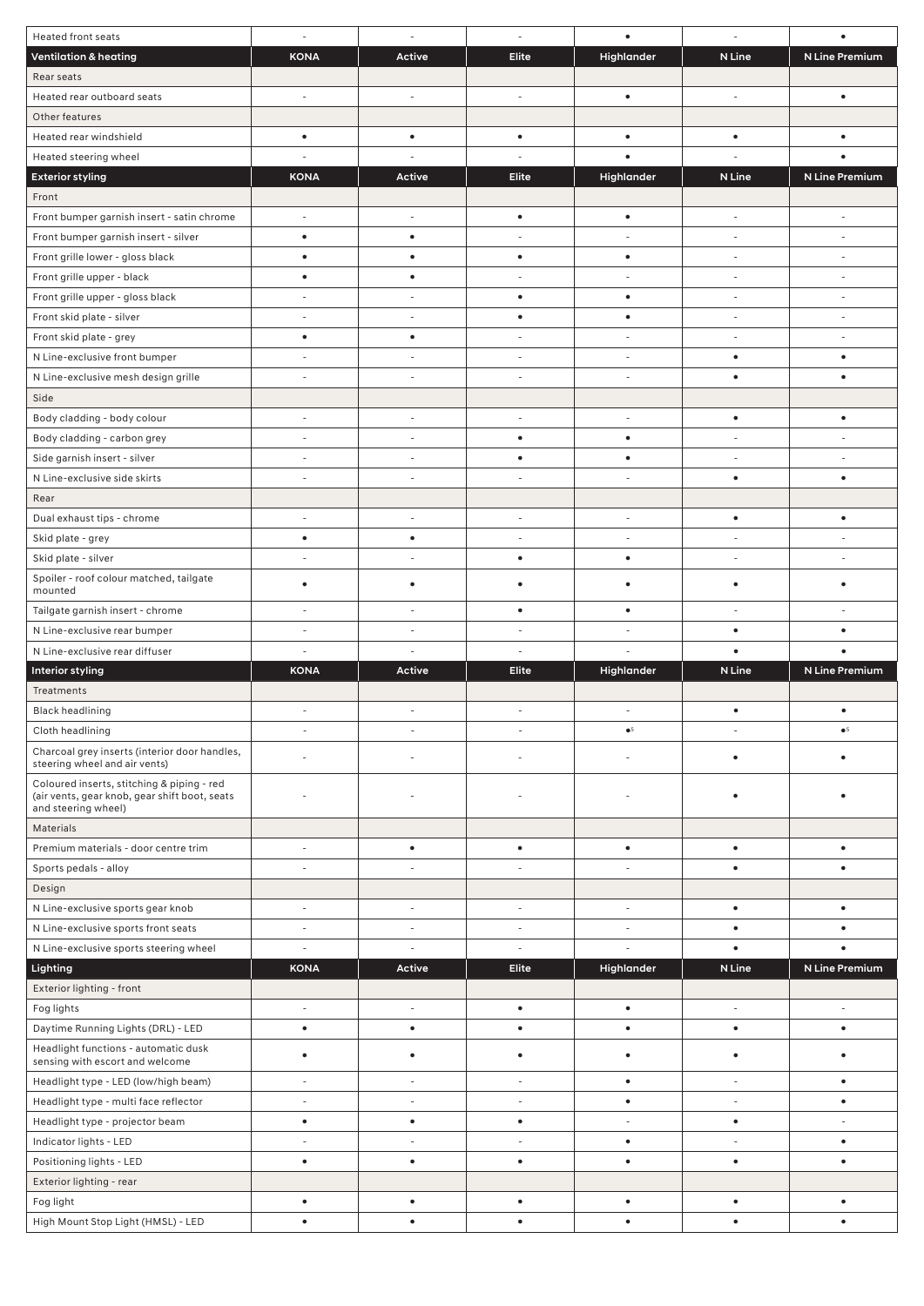| <b>Heated front seats</b>                                                                                          |                          | $\overline{\phantom{a}}$ | $\sim$                   | $\bullet$                | ä,                       |                          |
|--------------------------------------------------------------------------------------------------------------------|--------------------------|--------------------------|--------------------------|--------------------------|--------------------------|--------------------------|
| <b>Ventilation &amp; heating</b>                                                                                   | <b>KONA</b>              | Active                   | Elite                    | Highlander               | N Line                   | N Line Premium           |
| Rear seats                                                                                                         |                          |                          |                          |                          |                          |                          |
| Heated rear outboard seats                                                                                         | ÷,                       | $\overline{\phantom{a}}$ | ÷,                       | $\bullet$                | ÷,                       | $\bullet$                |
| Other features                                                                                                     |                          |                          |                          |                          |                          |                          |
| Heated rear windshield                                                                                             | ٠                        | $\bullet$                | $\bullet$                | $\bullet$                | $\bullet$                |                          |
| Heated steering wheel                                                                                              |                          |                          |                          |                          |                          |                          |
| <b>Exterior styling</b>                                                                                            | <b>KONA</b>              | <b>Active</b>            | <b>Elite</b>             | Highlander               | N Line                   | N Line Premium           |
| Front                                                                                                              |                          |                          |                          |                          |                          |                          |
| Front bumper garnish insert - satin chrome                                                                         | $\sim$                   | $\overline{\phantom{a}}$ | $\bullet$                | $\bullet$                | $\sim$                   |                          |
| Front bumper garnish insert - silver                                                                               | $\bullet$                | $\bullet$                |                          |                          | $\overline{\phantom{a}}$ |                          |
| Front grille lower - gloss black                                                                                   | $\bullet$                | $\bullet$                | $\bullet$                | $\bullet$                | $\overline{\phantom{a}}$ | $\overline{\phantom{a}}$ |
| Front grille upper - black                                                                                         | ٠                        | $\bullet$                |                          |                          | $\sim$                   | ٠                        |
| Front grille upper - gloss black                                                                                   |                          |                          | $\bullet$                | $\bullet$                |                          |                          |
| Front skid plate - silver                                                                                          |                          | $\sim$                   | ٠                        | $\bullet$                | $\overline{\phantom{a}}$ | $\sim$                   |
| Front skid plate - grey                                                                                            | ٠                        | $\bullet$                | $\sim$                   | $\sim$                   | $\sim$                   | $\sim$                   |
| N Line-exclusive front bumper                                                                                      |                          | $\sim$                   | $\sim$                   | ÷,                       | $\bullet$                | $\bullet$                |
| N Line-exclusive mesh design grille                                                                                |                          | $\sim$                   | $\sim$                   | $\sim$                   | $\bullet$                | $\bullet$                |
| Side                                                                                                               |                          |                          |                          |                          |                          |                          |
| Body cladding - body colour                                                                                        |                          | ä,                       | $\sim$                   | ÷,                       | $\bullet$                |                          |
| Body cladding - carbon grey                                                                                        |                          | $\overline{\phantom{a}}$ | $\bullet$                | $\bullet$                |                          |                          |
| Side garnish insert - silver                                                                                       | $\overline{\phantom{a}}$ | $\overline{\phantom{a}}$ | $\bullet$                | $\bullet$                | $\overline{\phantom{a}}$ |                          |
| N Line-exclusive side skirts                                                                                       |                          | $\sim$                   | ÷.                       | ÷,                       | $\bullet$                | $\bullet$                |
| Rear                                                                                                               |                          |                          |                          |                          |                          |                          |
| Dual exhaust tips - chrome                                                                                         |                          | $\sim$                   | $\sim$                   | $\sim$                   | $\bullet$                | $\bullet$                |
| Skid plate - grey                                                                                                  | $\bullet$                | $\bullet$                |                          |                          |                          |                          |
| Skid plate - silver                                                                                                |                          | $\overline{\phantom{a}}$ | $\bullet$                | $\bullet$                |                          |                          |
| Spoiler - roof colour matched, tailgate<br>mounted                                                                 | ٠                        | ٠                        | ٠                        | ٠                        | ٠                        |                          |
| Tailgate garnish insert - chrome                                                                                   | $\sim$                   | $\sim$                   | $\bullet$                | $\bullet$                |                          |                          |
| N Line-exclusive rear bumper                                                                                       |                          |                          | $\overline{\phantom{a}}$ |                          | $\bullet$                |                          |
| N Line-exclusive rear diffuser                                                                                     |                          | $\overline{\phantom{a}}$ |                          |                          | $\bullet$                |                          |
| Interior styling                                                                                                   | <b>KONA</b>              | Active                   | Elite                    | Highlander               | N Line                   | N Line Premium           |
| Treatments                                                                                                         |                          |                          |                          |                          |                          |                          |
| <b>Black headlining</b>                                                                                            |                          | $\sim$                   |                          | ÷.                       | $\bullet$                | $\bullet$                |
| Cloth headlining                                                                                                   |                          |                          |                          | $\bullet^5$              | $\overline{\phantom{a}}$ | $\bullet^5$              |
| Charcoal grey inserts (interior door handles,<br>steering wheel and air vents)                                     |                          |                          |                          |                          | ٠                        |                          |
| Coloured inserts, stitching & piping - red<br>(air vents, gear knob, gear shift boot, seats<br>and steering wheel) |                          |                          |                          |                          |                          |                          |
| Materials                                                                                                          |                          |                          |                          |                          |                          |                          |
| Premium materials - door centre trim                                                                               | $\bar{a}$                | $\bullet$                | $\bullet$                | $\bullet$                | $\bullet$                | $\bullet$                |
| Sports pedals - alloy                                                                                              |                          |                          | $\sim$                   |                          | ٠                        | ٠                        |
| Design                                                                                                             |                          |                          |                          |                          |                          |                          |
| N Line-exclusive sports gear knob                                                                                  | $\sim$                   | $\overline{\phantom{a}}$ | $\overline{\phantom{a}}$ | $\overline{\phantom{a}}$ | $\bullet$                | $\bullet$                |
| N Line-exclusive sports front seats                                                                                |                          | $\sim$                   | $\sim$                   |                          | ٠                        |                          |
| N Line-exclusive sports steering wheel                                                                             |                          | $\overline{\phantom{a}}$ | $\sim$                   |                          | $\bullet$                |                          |
| Lighting                                                                                                           | <b>KONA</b>              | Active                   | Elite                    | Highlander               | N Line                   | N Line Premium           |
| Exterior lighting - front                                                                                          |                          |                          |                          |                          |                          |                          |
| Fog lights                                                                                                         | $\sim$                   | $\overline{\phantom{a}}$ | $\bullet$                | $\bullet$                | $\overline{\phantom{a}}$ | ÷.                       |
| Daytime Running Lights (DRL) - LED                                                                                 | $\bullet$                | $\bullet$                | $\bullet$                | $\bullet$                | $\bullet$                | $\bullet$                |
| Headlight functions - automatic dusk<br>sensing with escort and welcome                                            |                          | $\bullet$                | $\bullet$                | $\bullet$                | ٠                        |                          |
| Headlight type - LED (low/high beam)                                                                               |                          | $\overline{\phantom{a}}$ | $\overline{\phantom{a}}$ | $\bullet$                | $\overline{\phantom{a}}$ | $\bullet$                |
|                                                                                                                    | $\overline{\phantom{a}}$ |                          |                          |                          |                          |                          |
| Headlight type - multi face reflector                                                                              | $\sim$                   |                          | ÷.                       | $\bullet$                | $\sim$                   | $\bullet$                |
| Headlight type - projector beam                                                                                    | $\bullet$                | $\bullet$                | $\bullet$                | $\sim$                   | $\bullet$                | $\sim$                   |
| Indicator lights - LED                                                                                             |                          |                          | $\sim$                   | $\bullet$                | $\sim$                   | $\bullet$                |
| Positioning lights - LED                                                                                           | $\bullet$                | $\bullet$                | $\bullet$                | $\bullet$                | $\bullet$                |                          |
| Exterior lighting - rear                                                                                           |                          |                          |                          |                          |                          |                          |
| Fog light<br>High Mount Stop Light (HMSL) - LED                                                                    | $\bullet$                | $\bullet$                | $\bullet$                | $\bullet$                | $\bullet$                | $\bullet$                |